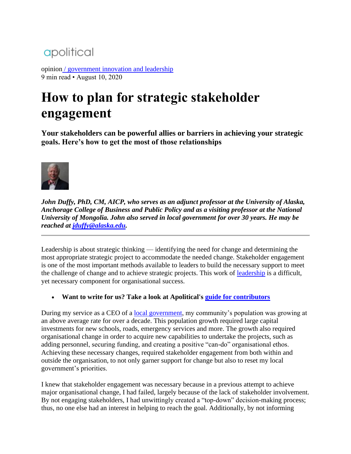## apolitical

opinion [/ government innovation and leadership](https://apolitical.co/flagship-sectors/government-innovation-and-leadership) 9 min read • August 10, 2020

# **How to plan for strategic stakeholder engagement**

**Your stakeholders can be powerful allies or barriers in achieving your strategic goals. Here's how to get the most of those relationships**



*John Duffy, PhD, CM, AICP, who serves as an adjunct professor at the University of Alaska, Anchorage College of Business and Public Policy and as a visiting professor at the National University of Mongolia. John also served in local government for over 30 years. He may be reached at [jduffy@alaska.edu.](mailto:jduffy@alaska.edu)*

Leadership is about strategic thinking — identifying the need for change and determining the most appropriate strategic project to accommodate the needed change. Stakeholder engagement is one of the most important methods available to leaders to build the necessary support to meet the challenge of change and to achieve strategic projects. This work of [leadership](https://apolitical.co/en/solution_article/4-pillars-of-effective-leadership) is a difficult, yet necessary component for organisational success.

• **Want to write for us? Take a look at Apolitical's [guide for contributors](https://apolitical.co/opinion-writing-becoming-an-apolitical-contributor/)**

During my service as a CEO of a [local government,](https://apolitical.co/en/solution_article/local-government-leadership-in-greece) my community's population was growing at an above average rate for over a decade. This population growth required large capital investments for new schools, roads, emergency services and more. The growth also required organisational change in order to acquire new capabilities to undertake the projects, such as adding personnel, securing funding, and creating a positive "can-do" organisational ethos. Achieving these necessary changes, required stakeholder engagement from both within and outside the organisation, to not only garner support for change but also to reset my local government's priorities.

I knew that stakeholder engagement was necessary because in a previous attempt to achieve major organisational change, I had failed, largely because of the lack of stakeholder involvement. By not engaging stakeholders, I had unwittingly created a "top-down" decision-making process; thus, no one else had an interest in helping to reach the goal. Additionally, by not informing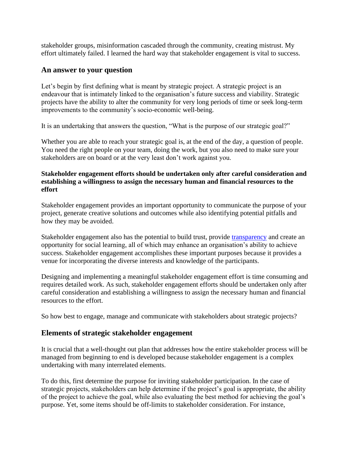stakeholder groups, misinformation cascaded through the community, creating mistrust. My effort ultimately failed. I learned the hard way that stakeholder engagement is vital to success.

#### **An answer to your question**

Let's begin by first defining what is meant by strategic project. A strategic project is an endeavour that is intimately linked to the organisation's future success and viability. Strategic projects have the ability to alter the community for very long periods of time or seek long-term improvements to the community's socio-economic well-being.

It is an undertaking that answers the question, "What is the purpose of our strategic goal?"

Whether you are able to reach your strategic goal is, at the end of the day, a question of people. You need the right people on your team, doing the work, but you also need to make sure your stakeholders are on board or at the very least don't work against you.

#### **Stakeholder engagement efforts should be undertaken only after careful consideration and establishing a willingness to assign the necessary human and financial resources to the effort**

Stakeholder engagement provides an important opportunity to communicate the purpose of your project, generate creative solutions and outcomes while also identifying potential pitfalls and how they may be avoided.

Stakeholder engagement also has the potential to build trust, provide [transparency](https://apolitical.co/en/solution_article/a-coalition-of-governments-is-fighting-authoritarianism-with-transparency) and create an opportunity for social learning, all of which may enhance an organisation's ability to achieve success. Stakeholder engagement accomplishes these important purposes because it provides a venue for incorporating the diverse interests and knowledge of the participants.

Designing and implementing a meaningful stakeholder engagement effort is time consuming and requires detailed work. As such, stakeholder engagement efforts should be undertaken only after careful consideration and establishing a willingness to assign the necessary human and financial resources to the effort.

So how best to engage, manage and communicate with stakeholders about strategic projects?

#### **Elements of strategic stakeholder engagement**

It is crucial that a well-thought out plan that addresses how the entire stakeholder process will be managed from beginning to end is developed because stakeholder engagement is a complex undertaking with many interrelated elements.

To do this, first determine the purpose for inviting stakeholder participation. In the case of strategic projects, stakeholders can help determine if the project's goal is appropriate, the ability of the project to achieve the goal, while also evaluating the best method for achieving the goal's purpose. Yet, some items should be off-limits to stakeholder consideration. For instance,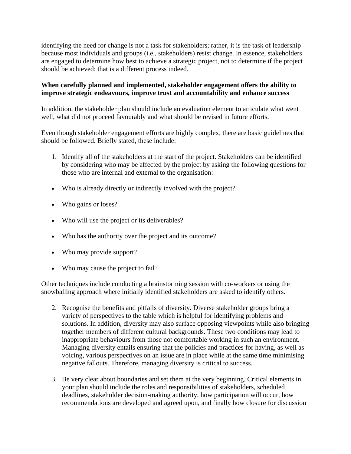identifying the need for change is not a task for stakeholders; rather, it is the task of leadership because most individuals and groups (i.e., stakeholders) resist change. In essence, stakeholders are engaged to determine how best to achieve a strategic project, not to determine if the project should be achieved; that is a different process indeed.

#### **When carefully planned and implemented, stakeholder engagement offers the ability to improve strategic endeavours, improve trust and accountability and enhance success**

In addition, the stakeholder plan should include an evaluation element to articulate what went well, what did not proceed favourably and what should be revised in future efforts.

Even though stakeholder engagement efforts are highly complex, there are basic guidelines that should be followed. Briefly stated, these include:

- 1. Identify all of the stakeholders at the start of the project. Stakeholders can be identified by considering who may be affected by the project by asking the following questions for those who are internal and external to the organisation:
- Who is already directly or indirectly involved with the project?
- Who gains or loses?
- Who will use the project or its deliverables?
- Who has the authority over the project and its outcome?
- Who may provide support?
- Who may cause the project to fail?

Other techniques include conducting a brainstorming session with co-workers or using the snowballing approach where initially identified stakeholders are asked to identify others.

- 2. Recognise the benefits and pitfalls of diversity. Diverse stakeholder groups bring a variety of perspectives to the table which is helpful for identifying problems and solutions. In addition, diversity may also surface opposing viewpoints while also bringing together members of different cultural backgrounds. These two conditions may lead to inappropriate behaviours from those not comfortable working in such an environment. Managing diversity entails ensuring that the policies and practices for having, as well as voicing, various perspectives on an issue are in place while at the same time minimising negative fallouts. Therefore, managing diversity is critical to success.
- 3. Be very clear about boundaries and set them at the very beginning. Critical elements in your plan should include the roles and responsibilities of stakeholders, scheduled deadlines, stakeholder decision-making authority, how participation will occur, how recommendations are developed and agreed upon, and finally how closure for discussion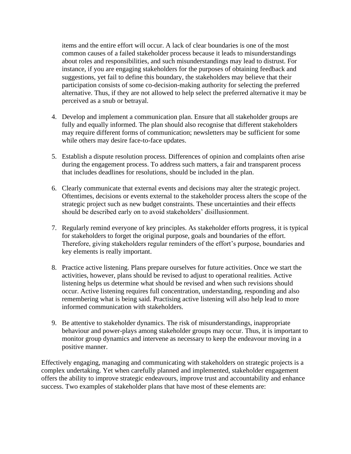items and the entire effort will occur. A lack of clear boundaries is one of the most common causes of a failed stakeholder process because it leads to misunderstandings about roles and responsibilities, and such misunderstandings may lead to distrust. For instance, if you are engaging stakeholders for the purposes of obtaining feedback and suggestions, yet fail to define this boundary, the stakeholders may believe that their participation consists of some co-decision-making authority for selecting the preferred alternative. Thus, if they are not allowed to help select the preferred alternative it may be perceived as a snub or betrayal.

- 4. Develop and implement a communication plan. Ensure that all stakeholder groups are fully and equally informed. The plan should also recognise that different stakeholders may require different forms of communication; newsletters may be sufficient for some while others may desire face-to-face updates.
- 5. Establish a dispute resolution process. Differences of opinion and complaints often arise during the engagement process. To address such matters, a fair and transparent process that includes deadlines for resolutions, should be included in the plan.
- 6. Clearly communicate that external events and decisions may alter the strategic project. Oftentimes, decisions or events external to the stakeholder process alters the scope of the strategic project such as new budget constraints. These uncertainties and their effects should be described early on to avoid stakeholders' disillusionment.
- 7. Regularly remind everyone of key principles. As stakeholder efforts progress, it is typical for stakeholders to forget the original purpose, goals and boundaries of the effort. Therefore, giving stakeholders regular reminders of the effort's purpose, boundaries and key elements is really important.
- 8. Practice active listening. Plans prepare ourselves for future activities. Once we start the activities, however, plans should be revised to adjust to operational realities. Active listening helps us determine what should be revised and when such revisions should occur. Active listening requires full concentration, understanding, responding and also remembering what is being said. Practising active listening will also help lead to more informed communication with stakeholders.
- 9. Be attentive to stakeholder dynamics. The risk of misunderstandings, inappropriate behaviour and power-plays among stakeholder groups may occur. Thus, it is important to monitor group dynamics and intervene as necessary to keep the endeavour moving in a positive manner.

Effectively engaging, managing and communicating with stakeholders on strategic projects is a complex undertaking. Yet when carefully planned and implemented, stakeholder engagement offers the ability to improve strategic endeavours, improve trust and accountability and enhance success. Two examples of stakeholder plans that have most of these elements are: